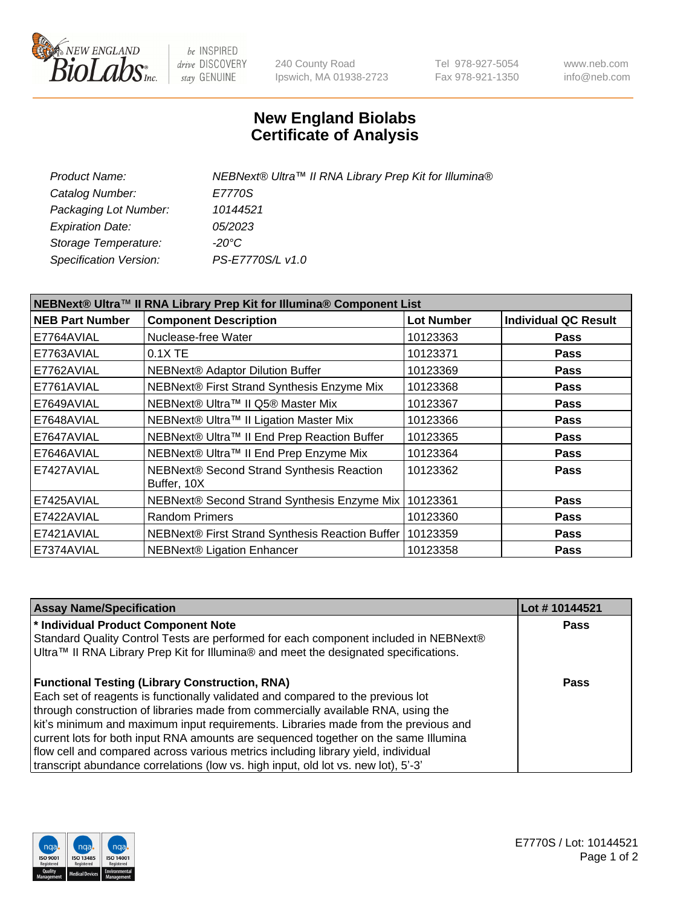

be INSPIRED drive DISCOVERY stay GENUINE

240 County Road Ipswich, MA 01938-2723 Tel 978-927-5054 Fax 978-921-1350 www.neb.com info@neb.com

## **New England Biolabs Certificate of Analysis**

| Product Name:           | NEBNext® Ultra™ II RNA Library Prep Kit for Illumina® |
|-------------------------|-------------------------------------------------------|
| Catalog Number:         | E7770S                                                |
| Packaging Lot Number:   | 10144521                                              |
| <b>Expiration Date:</b> | <i>05/2023</i>                                        |
| Storage Temperature:    | -20°C                                                 |
| Specification Version:  | PS-E7770S/L v1.0                                      |
|                         |                                                       |

| NEBNext® Ultra™ II RNA Library Prep Kit for Illumina® Component List |                                                            |                   |                             |  |
|----------------------------------------------------------------------|------------------------------------------------------------|-------------------|-----------------------------|--|
| <b>NEB Part Number</b>                                               | <b>Component Description</b>                               | <b>Lot Number</b> | <b>Individual QC Result</b> |  |
| E7764AVIAL                                                           | Nuclease-free Water                                        | 10123363          | <b>Pass</b>                 |  |
| E7763AVIAL                                                           | $0.1X$ TE                                                  | 10123371          | <b>Pass</b>                 |  |
| E7762AVIAL                                                           | <b>NEBNext® Adaptor Dilution Buffer</b>                    | 10123369          | <b>Pass</b>                 |  |
| E7761AVIAL                                                           | NEBNext® First Strand Synthesis Enzyme Mix                 | 10123368          | <b>Pass</b>                 |  |
| E7649AVIAL                                                           | NEBNext® Ultra™ II Q5® Master Mix                          | 10123367          | <b>Pass</b>                 |  |
| E7648AVIAL                                                           | NEBNext® Ultra™ II Ligation Master Mix                     | 10123366          | <b>Pass</b>                 |  |
| E7647AVIAL                                                           | NEBNext® Ultra™ II End Prep Reaction Buffer                | 10123365          | <b>Pass</b>                 |  |
| E7646AVIAL                                                           | NEBNext® Ultra™ II End Prep Enzyme Mix                     | 10123364          | <b>Pass</b>                 |  |
| E7427AVIAL                                                           | NEBNext® Second Strand Synthesis Reaction<br>Buffer, 10X   | 10123362          | <b>Pass</b>                 |  |
| E7425AVIAL                                                           | NEBNext® Second Strand Synthesis Enzyme Mix   10123361     |                   | <b>Pass</b>                 |  |
| E7422AVIAL                                                           | <b>Random Primers</b>                                      | 10123360          | <b>Pass</b>                 |  |
| E7421AVIAL                                                           | NEBNext® First Strand Synthesis Reaction Buffer   10123359 |                   | <b>Pass</b>                 |  |
| E7374AVIAL                                                           | NEBNext® Ligation Enhancer                                 | 10123358          | <b>Pass</b>                 |  |

| <b>Assay Name/Specification</b>                                                      | Lot #10144521 |
|--------------------------------------------------------------------------------------|---------------|
| * Individual Product Component Note                                                  | <b>Pass</b>   |
| Standard Quality Control Tests are performed for each component included in NEBNext® |               |
| Ultra™ II RNA Library Prep Kit for Illumina® and meet the designated specifications. |               |
| <b>Functional Testing (Library Construction, RNA)</b>                                | Pass          |
| Each set of reagents is functionally validated and compared to the previous lot      |               |
| through construction of libraries made from commercially available RNA, using the    |               |
| kit's minimum and maximum input requirements. Libraries made from the previous and   |               |
| current lots for both input RNA amounts are sequenced together on the same Illumina  |               |
| flow cell and compared across various metrics including library yield, individual    |               |
| transcript abundance correlations (low vs. high input, old lot vs. new lot), 5'-3'   |               |